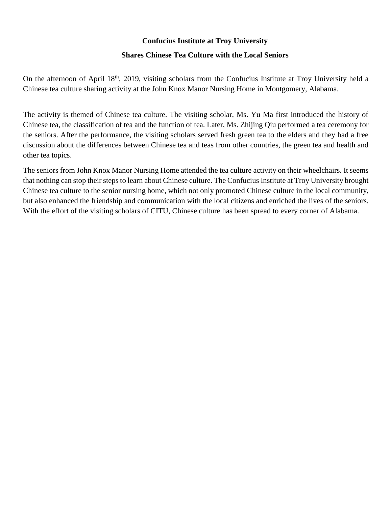## **Confucius Institute at Troy University**

## **Shares Chinese Tea Culture with the Local Seniors**

On the afternoon of April 18<sup>th</sup>, 2019, visiting scholars from the Confucius Institute at Troy University held a Chinese tea culture sharing activity at the John Knox Manor Nursing Home in Montgomery, Alabama.

The activity is themed of Chinese tea culture. The visiting scholar, Ms. Yu Ma first introduced the history of Chinese tea, the classification of tea and the function of tea. Later, Ms. Zhijing Qiu performed a tea ceremony for the seniors. After the performance, the visiting scholars served fresh green tea to the elders and they had a free discussion about the differences between Chinese tea and teas from other countries, the green tea and health and other tea topics.

The seniors from John Knox Manor Nursing Home attended the tea culture activity on their wheelchairs. It seems that nothing can stop their steps to learn about Chinese culture. The Confucius Institute at Troy University brought Chinese tea culture to the senior nursing home, which not only promoted Chinese culture in the local community, but also enhanced the friendship and communication with the local citizens and enriched the lives of the seniors. With the effort of the visiting scholars of CITU, Chinese culture has been spread to every corner of Alabama.